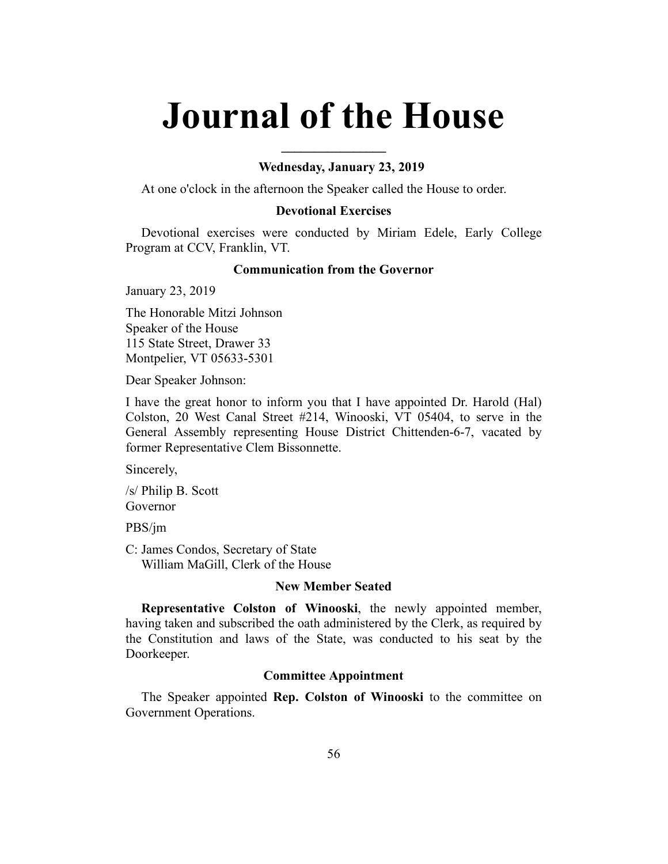# **Journal of the House**

**\_\_\_\_\_\_\_\_\_\_\_\_\_\_\_\_**

## **Wednesday, January 23, 2019**

At one o'clock in the afternoon the Speaker called the House to order.

#### **Devotional Exercises**

Devotional exercises were conducted by Miriam Edele, Early College Program at CCV, Franklin, VT.

# **Communication from the Governor**

January 23, 2019

The Honorable Mitzi Johnson Speaker of the House 115 State Street, Drawer 33 Montpelier, VT 05633-5301

Dear Speaker Johnson:

I have the great honor to inform you that I have appointed Dr. Harold (Hal) Colston, 20 West Canal Street #214, Winooski, VT 05404, to serve in the General Assembly representing House District Chittenden-6-7, vacated by former Representative Clem Bissonnette.

Sincerely,

/s/ Philip B. Scott Governor

PBS/jm

C: James Condos, Secretary of State William MaGill, Clerk of the House

#### **New Member Seated**

**Representative Colston of Winooski**, the newly appointed member, having taken and subscribed the oath administered by the Clerk, as required by the Constitution and laws of the State, was conducted to his seat by the Doorkeeper.

## **Committee Appointment**

The Speaker appointed **Rep. Colston of Winooski** to the committee on Government Operations.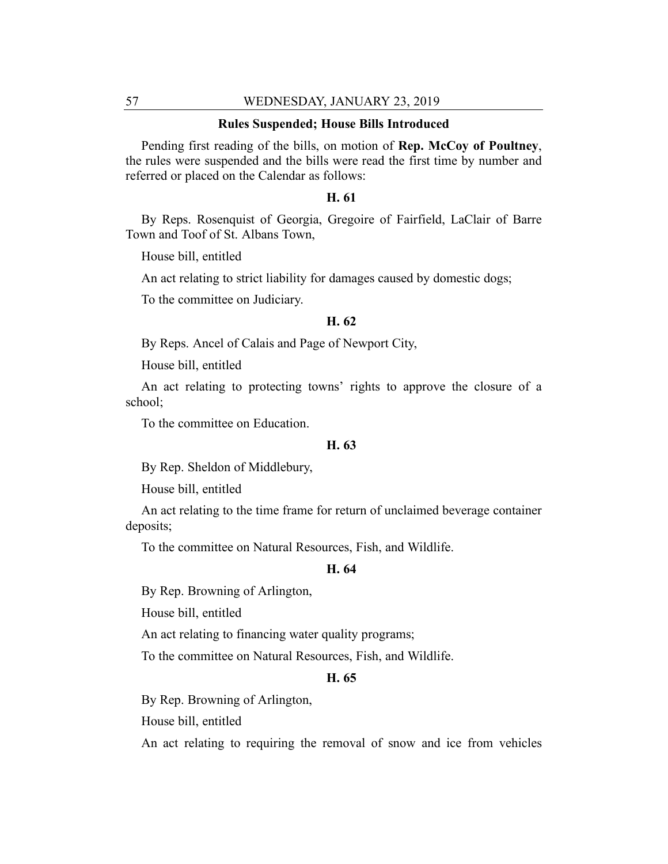#### **Rules Suspended; House Bills Introduced**

Pending first reading of the bills, on motion of **Rep. McCoy of Poultney**, the rules were suspended and the bills were read the first time by number and referred or placed on the Calendar as follows:

# **H. 61**

By Reps. Rosenquist of Georgia, Gregoire of Fairfield, LaClair of Barre Town and Toof of St. Albans Town,

House bill, entitled

An act relating to strict liability for damages caused by domestic dogs;

To the committee on Judiciary.

## **H. 62**

By Reps. Ancel of Calais and Page of Newport City,

House bill, entitled

An act relating to protecting towns' rights to approve the closure of a school;

To the committee on Education.

## **H. 63**

By Rep. Sheldon of Middlebury,

House bill, entitled

An act relating to the time frame for return of unclaimed beverage container deposits;

To the committee on Natural Resources, Fish, and Wildlife.

#### **H. 64**

By Rep. Browning of Arlington,

House bill, entitled

An act relating to financing water quality programs;

To the committee on Natural Resources, Fish, and Wildlife.

#### **H. 65**

By Rep. Browning of Arlington,

House bill, entitled

An act relating to requiring the removal of snow and ice from vehicles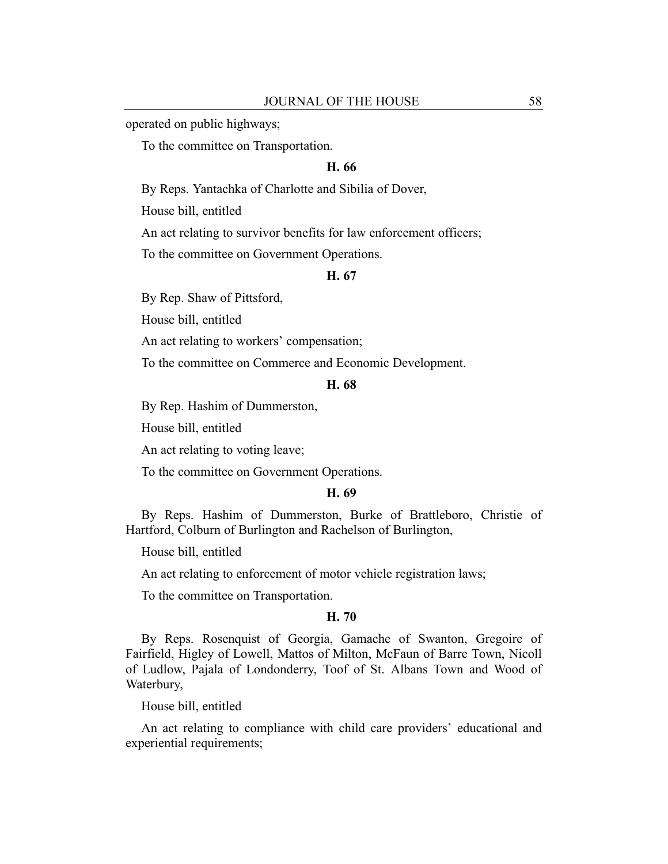operated on public highways;

To the committee on Transportation.

## **H. 66**

By Reps. Yantachka of Charlotte and Sibilia of Dover,

House bill, entitled

An act relating to survivor benefits for law enforcement officers;

To the committee on Government Operations.

#### **H. 67**

By Rep. Shaw of Pittsford,

House bill, entitled

An act relating to workers' compensation;

To the committee on Commerce and Economic Development.

## **H. 68**

By Rep. Hashim of Dummerston,

House bill, entitled

An act relating to voting leave;

To the committee on Government Operations.

# **H. 69**

By Reps. Hashim of Dummerston, Burke of Brattleboro, Christie of Hartford, Colburn of Burlington and Rachelson of Burlington,

House bill, entitled

An act relating to enforcement of motor vehicle registration laws;

To the committee on Transportation.

#### **H. 70**

By Reps. Rosenquist of Georgia, Gamache of Swanton, Gregoire of Fairfield, Higley of Lowell, Mattos of Milton, McFaun of Barre Town, Nicoll of Ludlow, Pajala of Londonderry, Toof of St. Albans Town and Wood of Waterbury,

House bill, entitled

An act relating to compliance with child care providers' educational and experiential requirements;